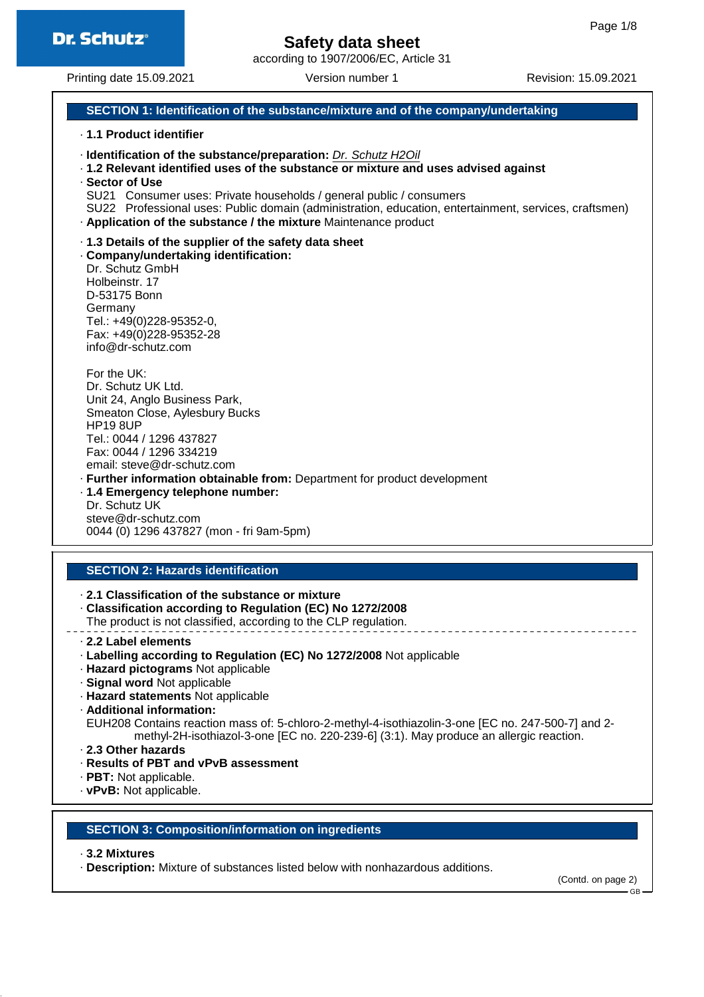

according to 1907/2006/EC, Article 31

Printing date 15.09.2021 Version number 1 Revision: 15.09.2021

### **SECTION 1: Identification of the substance/mixture and of the company/undertaking**

#### · **1.1 Product identifier**

- · **Identification of the substance/preparation:** Dr. Schutz H2Oil
- · **1.2 Relevant identified uses of the substance or mixture and uses advised against**
- · **Sector of Use**
- SU21 Consumer uses: Private households / general public / consumers
- SU22 Professional uses: Public domain (administration, education, entertainment, services, craftsmen) · **Application of the substance / the mixture** Maintenance product

#### · **1.3 Details of the supplier of the safety data sheet**

#### · **Company/undertaking identification:**

Dr. Schutz GmbH Holbeinstr. 17 D-53175 Bonn **Germany** Tel.: +49(0)228-95352-0, Fax: +49(0)228-95352-28 info@dr-schutz.com

For the UK: Dr. Schutz UK Ltd. Unit 24, Anglo Business Park, Smeaton Close, Aylesbury Bucks HP19 8UP Tel.: 0044 / 1296 437827 Fax: 0044 / 1296 334219 email: steve@dr-schutz.com · **Further information obtainable from:** Department for product development

· **1.4 Emergency telephone number:** Dr. Schutz UK steve@dr-schutz.com 0044 (0) 1296 437827 (mon - fri 9am-5pm)

#### **SECTION 2: Hazards identification**

#### · **2.1 Classification of the substance or mixture**

- · **Classification according to Regulation (EC) No 1272/2008**
- The product is not classified, according to the CLP regulation.
- · **2.2 Label elements**
- · **Labelling according to Regulation (EC) No 1272/2008** Not applicable
- · **Hazard pictograms** Not applicable
- · **Signal word** Not applicable
- · **Hazard statements** Not applicable
- · **Additional information:**

EUH208 Contains reaction mass of: 5-chloro-2-methyl-4-isothiazolin-3-one [EC no. 247-500-7] and 2 methyl-2H-isothiazol-3-one [EC no. 220-239-6] (3:1). May produce an allergic reaction.

- · **2.3 Other hazards**
- · **Results of PBT and vPvB assessment**
- · **PBT:** Not applicable.
- · **vPvB:** Not applicable.

#### **SECTION 3: Composition/information on ingredients**

#### · **3.2 Mixtures**

· **Description:** Mixture of substances listed below with nonhazardous additions.

(Contd. on page 2)

GB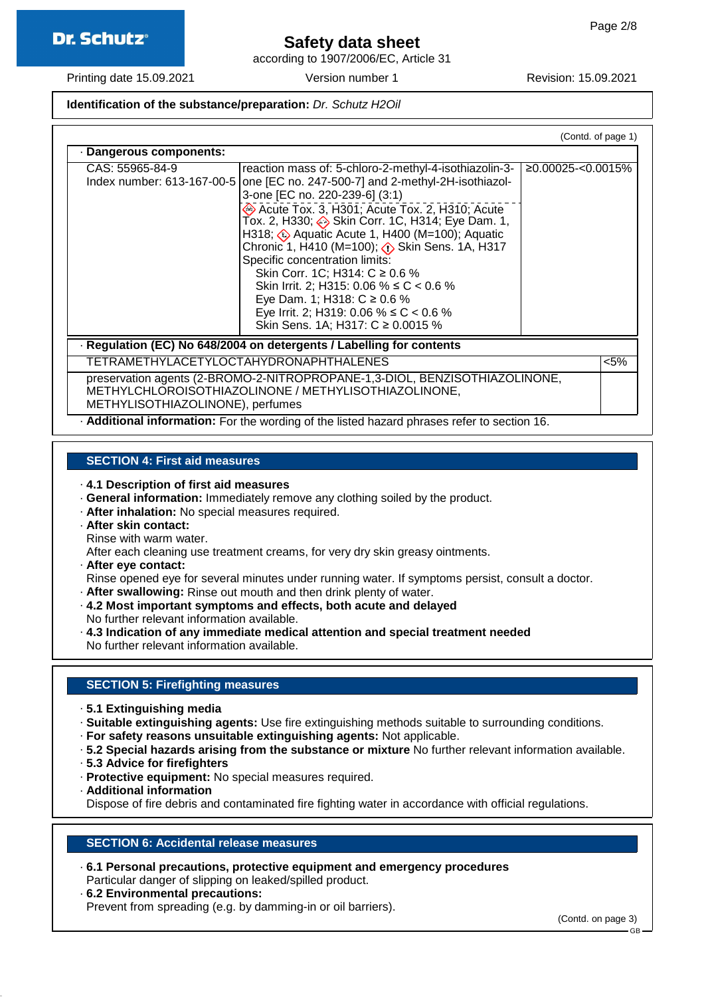

according to 1907/2006/EC, Article 31

Printing date 15.09.2021 Version number 1 Revision: 15.09.2021

### **Identification of the substance/preparation:** Dr. Schutz H2Oil

|                                               |                                                                                                                                                                                                                                                                                                                                                                                                                                                                                                                                                                                                                                 | (Contd. of page 1) |
|-----------------------------------------------|---------------------------------------------------------------------------------------------------------------------------------------------------------------------------------------------------------------------------------------------------------------------------------------------------------------------------------------------------------------------------------------------------------------------------------------------------------------------------------------------------------------------------------------------------------------------------------------------------------------------------------|--------------------|
| · Dangerous components:                       |                                                                                                                                                                                                                                                                                                                                                                                                                                                                                                                                                                                                                                 |                    |
| CAS: 55965-84-9<br>Index number: 613-167-00-5 | reaction mass of: 5-chloro-2-methyl-4-isothiazolin-3-<br>one [EC no. 247-500-7] and 2-methyl-2H-isothiazol-<br>3-one [EC no. 220-239-6] (3:1)<br>Acute Tox. 3, H301; Acute Tox. 2, H310; Acute<br>Tox. 2, H330; Skin Corr. 1C, H314; Eye Dam. 1,<br>H318; $\Longleftrightarrow$ Aquatic Acute 1, H400 (M=100); Aquatic<br>Chronic 1, H410 (M=100); $\langle \cdot \rangle$ Skin Sens. 1A, H317<br>Specific concentration limits:<br>Skin Corr. 1C; H314: C ≥ 0.6 %<br>Skin Irrit. 2; H315: 0.06 % ≤ C < 0.6 %<br>Eye Dam. 1; H318: $C \ge 0.6$ %<br>Eye Irrit. 2; H319: 0.06 % ≤ C < 0.6 %<br>Skin Sens. 1A; H317: C ≥ 0.0015 % | ≥0.00025<0.0015%   |
|                                               | · Regulation (EC) No 648/2004 on detergents / Labelling for contents                                                                                                                                                                                                                                                                                                                                                                                                                                                                                                                                                            |                    |
| TETRAMETHYLACETYLOCTAHYDRONAPHTHALENES        |                                                                                                                                                                                                                                                                                                                                                                                                                                                                                                                                                                                                                                 | $< 5\%$            |
| METHYLISOTHIAZOLINONE), perfumes              | preservation agents (2-BROMO-2-NITROPROPANE-1,3-DIOL, BENZISOTHIAZOLINONE,<br>METHYLCHLOROISOTHIAZOLINONE / METHYLISOTHIAZOLINONE,                                                                                                                                                                                                                                                                                                                                                                                                                                                                                              |                    |

· **Additional information:** For the wording of the listed hazard phrases refer to section 16.

### **SECTION 4: First aid measures**

· **4.1 Description of first aid measures**

- · **General information:** Immediately remove any clothing soiled by the product.
- · **After inhalation:** No special measures required.
- · **After skin contact:** Rinse with warm water.

After each cleaning use treatment creams, for very dry skin greasy ointments.

- · **After eye contact:**
- Rinse opened eye for several minutes under running water. If symptoms persist, consult a doctor.
- · **After swallowing:** Rinse out mouth and then drink plenty of water.
- · **4.2 Most important symptoms and effects, both acute and delayed** No further relevant information available.
- · **4.3 Indication of any immediate medical attention and special treatment needed**
- No further relevant information available.

### **SECTION 5: Firefighting measures**

- · **5.1 Extinguishing media**
- · **Suitable extinguishing agents:** Use fire extinguishing methods suitable to surrounding conditions.
- · **For safety reasons unsuitable extinguishing agents:** Not applicable.
- · **5.2 Special hazards arising from the substance or mixture** No further relevant information available.
- · **5.3 Advice for firefighters**
- · **Protective equipment:** No special measures required.
- · **Additional information**

Dispose of fire debris and contaminated fire fighting water in accordance with official regulations.

#### **SECTION 6: Accidental release measures**

- · **6.1 Personal precautions, protective equipment and emergency procedures** Particular danger of slipping on leaked/spilled product.
- · **6.2 Environmental precautions:** Prevent from spreading (e.g. by damming-in or oil barriers).

(Contd. on page 3)

GB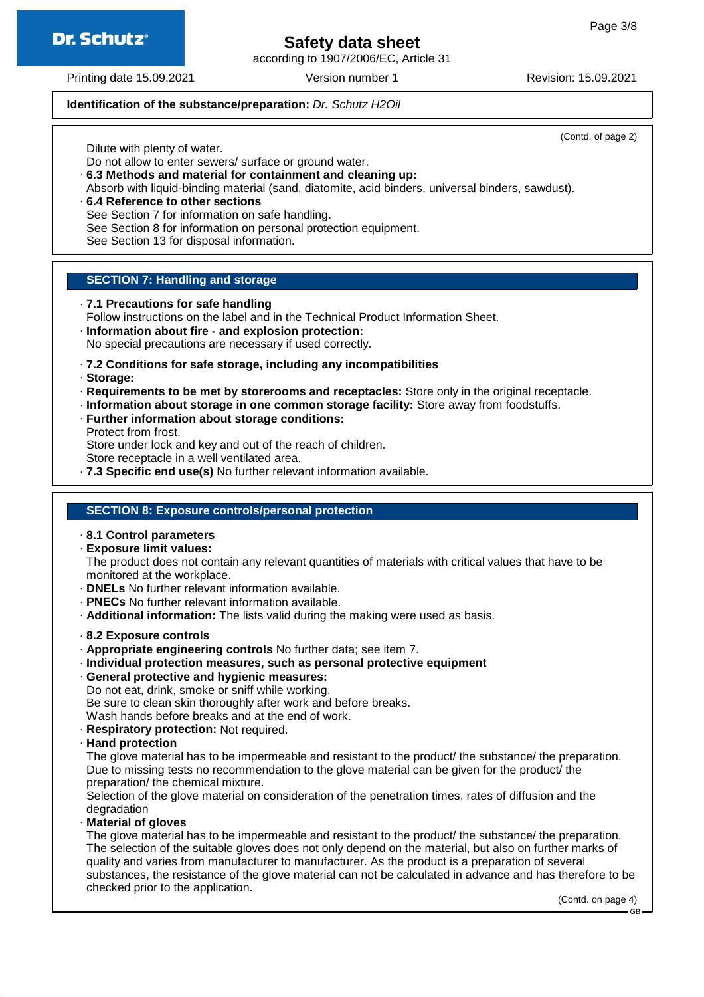**Dr. Schutz®** 

# **Safety data sheet**

according to 1907/2006/EC, Article 31

Printing date 15.09.2021 Version number 1 Revision: 15.09.2021

#### **Identification of the substance/preparation:** Dr. Schutz H2Oil

(Contd. of page 2)

Dilute with plenty of water.

Do not allow to enter sewers/ surface or ground water.

- · **6.3 Methods and material for containment and cleaning up:** Absorb with liquid-binding material (sand, diatomite, acid binders, universal binders, sawdust). · **6.4 Reference to other sections**
- See Section 7 for information on safe handling. See Section 8 for information on personal protection equipment. See Section 13 for disposal information.

#### **SECTION 7: Handling and storage**

· **7.1 Precautions for safe handling**

Follow instructions on the label and in the Technical Product Information Sheet.

· **Information about fire - and explosion protection:**

No special precautions are necessary if used correctly.

- · **7.2 Conditions for safe storage, including any incompatibilities**
- · **Storage:**
- · **Requirements to be met by storerooms and receptacles:** Store only in the original receptacle.
- · **Information about storage in one common storage facility:** Store away from foodstuffs.
- · **Further information about storage conditions:** Protect from frost.

Store under lock and key and out of the reach of children.

Store receptacle in a well ventilated area.

· **7.3 Specific end use(s)** No further relevant information available.

#### **SECTION 8: Exposure controls/personal protection**

#### · **8.1 Control parameters**

· **Exposure limit values:**

The product does not contain any relevant quantities of materials with critical values that have to be monitored at the workplace.

- · **DNELs** No further relevant information available.
- · **PNECs** No further relevant information available.
- · **Additional information:** The lists valid during the making were used as basis.

#### · **8.2 Exposure controls**

- · **Appropriate engineering controls** No further data; see item 7.
- · **Individual protection measures, such as personal protective equipment**
- · **General protective and hygienic measures:**
- Do not eat, drink, smoke or sniff while working.

Be sure to clean skin thoroughly after work and before breaks.

Wash hands before breaks and at the end of work.

- · **Respiratory protection:** Not required.
- · **Hand protection**

The glove material has to be impermeable and resistant to the product/ the substance/ the preparation. Due to missing tests no recommendation to the glove material can be given for the product/ the preparation/ the chemical mixture.

Selection of the glove material on consideration of the penetration times, rates of diffusion and the degradation

· **Material of gloves**

The glove material has to be impermeable and resistant to the product/ the substance/ the preparation. The selection of the suitable gloves does not only depend on the material, but also on further marks of quality and varies from manufacturer to manufacturer. As the product is a preparation of several substances, the resistance of the glove material can not be calculated in advance and has therefore to be checked prior to the application.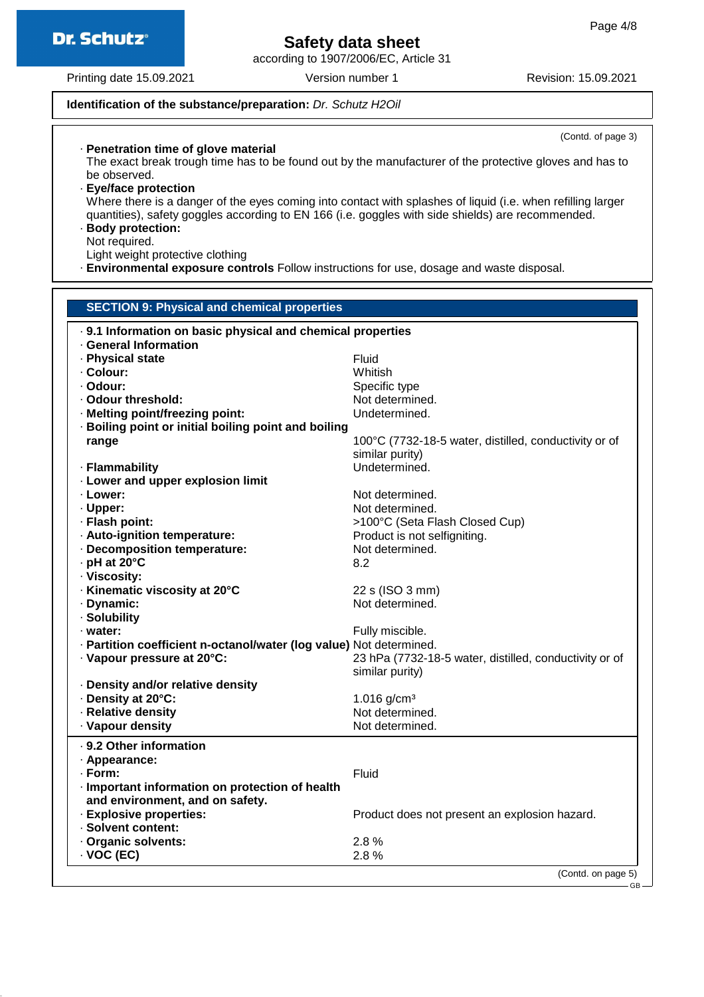according to 1907/2006/EC, Article 31

Printing date 15.09.2021 Version number 1 Revision: 15.09.2021

#### **Identification of the substance/preparation:** Dr. Schutz H2Oil

(Contd. of page 3) · **Penetration time of glove material** The exact break trough time has to be found out by the manufacturer of the protective gloves and has to be observed. · **Eye/face protection** Where there is a danger of the eyes coming into contact with splashes of liquid (i.e. when refilling larger quantities), safety goggles according to EN 166 (i.e. goggles with side shields) are recommended. · **Body protection:** Not required. Light weight protective clothing · **Environmental exposure controls** Follow instructions for use, dosage and waste disposal.

| <b>SECTION 9: Physical and chemical properties</b>                  |                                                        |  |  |  |
|---------------------------------------------------------------------|--------------------------------------------------------|--|--|--|
| . 9.1 Information on basic physical and chemical properties         |                                                        |  |  |  |
| <b>General Information</b>                                          |                                                        |  |  |  |
| · Physical state                                                    | Fluid                                                  |  |  |  |
| · Colour:                                                           | Whitish                                                |  |  |  |
| · Odour:                                                            | Specific type                                          |  |  |  |
| · Odour threshold:                                                  | Not determined.                                        |  |  |  |
| · Melting point/freezing point:                                     | Undetermined.                                          |  |  |  |
| · Boiling point or initial boiling point and boiling                |                                                        |  |  |  |
| range                                                               | 100°C (7732-18-5 water, distilled, conductivity or of  |  |  |  |
|                                                                     | similar purity)                                        |  |  |  |
| · Flammability                                                      | Undetermined.                                          |  |  |  |
| · Lower and upper explosion limit                                   |                                                        |  |  |  |
| · Lower:                                                            | Not determined.                                        |  |  |  |
| · Upper:                                                            | Not determined.                                        |  |  |  |
| · Flash point:                                                      | >100°C (Seta Flash Closed Cup)                         |  |  |  |
| · Auto-ignition temperature:                                        | Product is not selfigniting.                           |  |  |  |
| · Decomposition temperature:                                        | Not determined.                                        |  |  |  |
| · pH at 20°C                                                        | 8.2                                                    |  |  |  |
| · Viscosity:                                                        |                                                        |  |  |  |
| · Kinematic viscosity at 20°C                                       | 22 s (ISO 3 mm)                                        |  |  |  |
| · Dynamic:                                                          | Not determined.                                        |  |  |  |
| · Solubility                                                        |                                                        |  |  |  |
| · water:                                                            | Fully miscible.                                        |  |  |  |
| · Partition coefficient n-octanol/water (log value) Not determined. |                                                        |  |  |  |
| · Vapour pressure at 20°C:                                          | 23 hPa (7732-18-5 water, distilled, conductivity or of |  |  |  |
|                                                                     | similar purity)                                        |  |  |  |
| · Density and/or relative density                                   |                                                        |  |  |  |
| · Density at 20°C:                                                  | 1.016 $g/cm^{3}$                                       |  |  |  |
| · Relative density                                                  | Not determined.                                        |  |  |  |
| · Vapour density                                                    | Not determined.                                        |  |  |  |
|                                                                     |                                                        |  |  |  |
| · 9.2 Other information                                             |                                                        |  |  |  |
| · Appearance:                                                       |                                                        |  |  |  |
| · Form:                                                             | Fluid                                                  |  |  |  |
| · Important information on protection of health                     |                                                        |  |  |  |
| and environment, and on safety.                                     |                                                        |  |  |  |
| · Explosive properties:                                             | Product does not present an explosion hazard.          |  |  |  |
| · Solvent content:                                                  |                                                        |  |  |  |
| · Organic solvents:                                                 | 2.8%                                                   |  |  |  |
| $\cdot$ VOC (EC)                                                    | 2.8%                                                   |  |  |  |
|                                                                     | (Contd. on page 5)                                     |  |  |  |
|                                                                     |                                                        |  |  |  |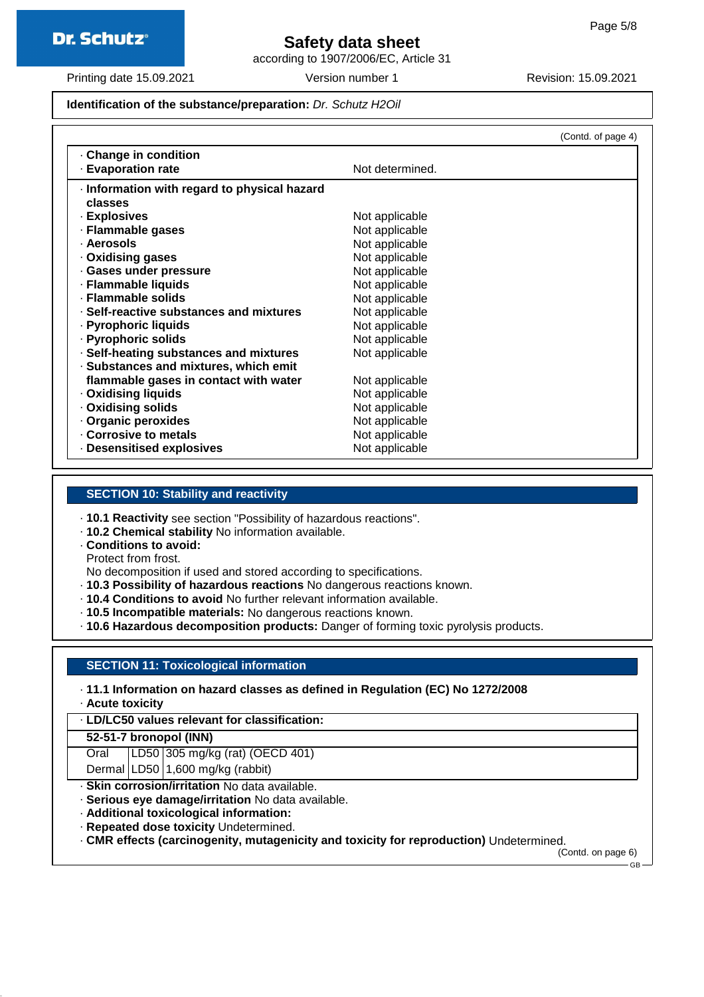

according to 1907/2006/EC, Article 31

Printing date 15.09.2021 Version number 1 Revision: 15.09.2021

#### **Identification of the substance/preparation:** Dr. Schutz H2Oil

|                                              |                 | (Contd. of page 4) |
|----------------------------------------------|-----------------|--------------------|
| Change in condition                          |                 |                    |
| <b>Evaporation rate</b>                      | Not determined. |                    |
| · Information with regard to physical hazard |                 |                    |
| classes                                      |                 |                    |
| · Explosives                                 | Not applicable  |                    |
| · Flammable gases                            | Not applicable  |                    |
| · Aerosols                                   | Not applicable  |                    |
| Oxidising gases                              | Not applicable  |                    |
| · Gases under pressure                       | Not applicable  |                    |
| · Flammable liquids                          | Not applicable  |                    |
| · Flammable solids                           | Not applicable  |                    |
| · Self-reactive substances and mixtures      | Not applicable  |                    |
| · Pyrophoric liquids                         | Not applicable  |                    |
| · Pyrophoric solids                          | Not applicable  |                    |
| · Self-heating substances and mixtures       | Not applicable  |                    |
| · Substances and mixtures, which emit        |                 |                    |
| flammable gases in contact with water        | Not applicable  |                    |
| · Oxidising liquids                          | Not applicable  |                    |
| · Oxidising solids                           | Not applicable  |                    |
| · Organic peroxides                          | Not applicable  |                    |
| Corrosive to metals                          | Not applicable  |                    |
| Desensitised explosives                      | Not applicable  |                    |

#### **SECTION 10: Stability and reactivity**

- · **10.1 Reactivity** see section "Possibility of hazardous reactions".
- · **10.2 Chemical stability** No information available.
- · **Conditions to avoid:**

Protect from frost.

No decomposition if used and stored according to specifications.

- · **10.3 Possibility of hazardous reactions** No dangerous reactions known.
- · **10.4 Conditions to avoid** No further relevant information available.
- · **10.5 Incompatible materials:** No dangerous reactions known.
- · **10.6 Hazardous decomposition products:** Danger of forming toxic pyrolysis products.

#### **SECTION 11: Toxicological information**

· **11.1 Information on hazard classes as defined in Regulation (EC) No 1272/2008**

· **Acute toxicity**

· **LD/LC50 values relevant for classification:**

#### **52-51-7 bronopol (INN)**

Oral LD50 305 mg/kg (rat) (OECD 401)

Dermal | LD50 | 1,600 mg/kg (rabbit)

- · **Skin corrosion/irritation** No data available.
- · **Serious eye damage/irritation** No data available.
- · **Additional toxicological information:**
- · **Repeated dose toxicity** Undetermined.
- · **CMR effects (carcinogenity, mutagenicity and toxicity for reproduction)** Undetermined.

(Contd. on page 6) GB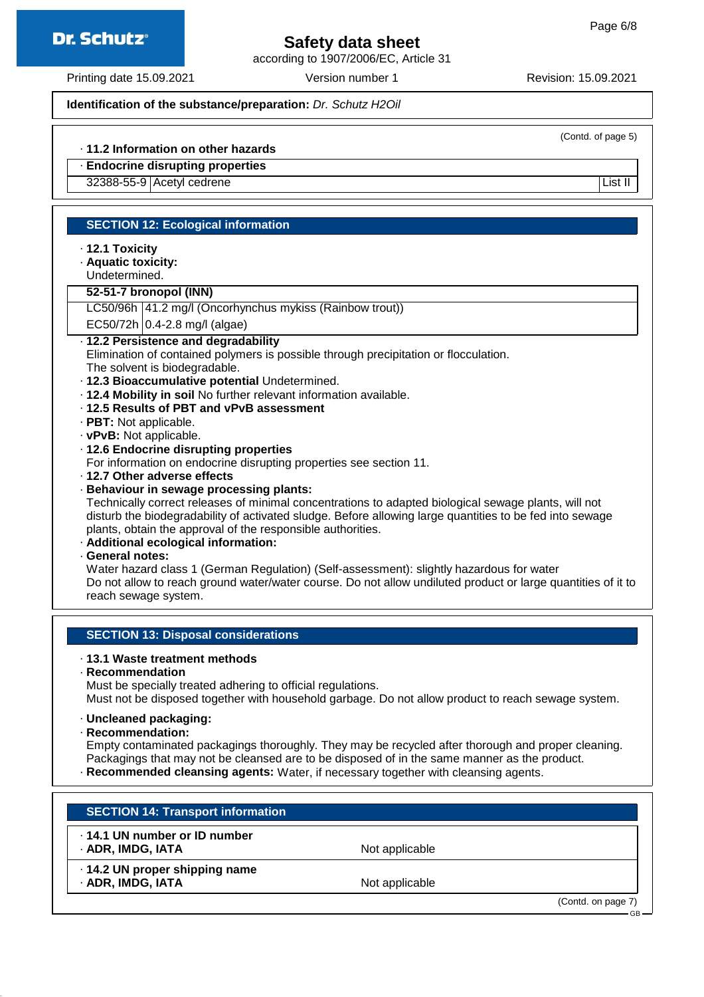according to 1907/2006/EC, Article 31

Printing date 15.09.2021 Version number 1 Revision: 15.09.2021

**Dr. Schutz®** 

#### **Identification of the substance/preparation:** Dr. Schutz H2Oil

(Contd. of page 5)

GB

#### · **11.2 Information on other hazards**

### · **Endocrine disrupting properties**

32388-55-9 Acetyl cedrene List II List II List II List II List II List II List II

#### **SECTION 12: Ecological information**

- · **12.1 Toxicity**
- · **Aquatic toxicity:**
- Undetermined.

#### **52-51-7 bronopol (INN)**

LC50/96h 41.2 mg/l (Oncorhynchus mykiss (Rainbow trout))

 $EC50/72h$  0.4-2.8 mg/l (algae)

#### · **12.2 Persistence and degradability**

Elimination of contained polymers is possible through precipitation or flocculation.

- The solvent is biodegradable.
- · **12.3 Bioaccumulative potential** Undetermined.
- · **12.4 Mobility in soil** No further relevant information available.
- · **12.5 Results of PBT and vPvB assessment**
- · **PBT:** Not applicable.
- · **vPvB:** Not applicable.

#### · **12.6 Endocrine disrupting properties**

For information on endocrine disrupting properties see section 11.

· **12.7 Other adverse effects**

#### · **Behaviour in sewage processing plants:**

Technically correct releases of minimal concentrations to adapted biological sewage plants, will not disturb the biodegradability of activated sludge. Before allowing large quantities to be fed into sewage plants, obtain the approval of the responsible authorities.

- · **Additional ecological information:**
- · **General notes:**

Water hazard class 1 (German Regulation) (Self-assessment): slightly hazardous for water Do not allow to reach ground water/water course. Do not allow undiluted product or large quantities of it to reach sewage system.

#### **SECTION 13: Disposal considerations**

#### · **13.1 Waste treatment methods**

· **Recommendation**

Must be specially treated adhering to official regulations.

Must not be disposed together with household garbage. Do not allow product to reach sewage system.

#### · **Uncleaned packaging:**

· **Recommendation:**

Empty contaminated packagings thoroughly. They may be recycled after thorough and proper cleaning. Packagings that may not be cleansed are to be disposed of in the same manner as the product. · **Recommended cleansing agents:** Water, if necessary together with cleansing agents.

| <b>SECTION 14: Transport information</b>            |                |                    |
|-----------------------------------------------------|----------------|--------------------|
| .14.1 UN number or ID number<br>· ADR, IMDG, IATA   | Not applicable |                    |
| · 14.2 UN proper shipping name<br>· ADR, IMDG, IATA | Not applicable |                    |
|                                                     |                | (Contd. on page 7) |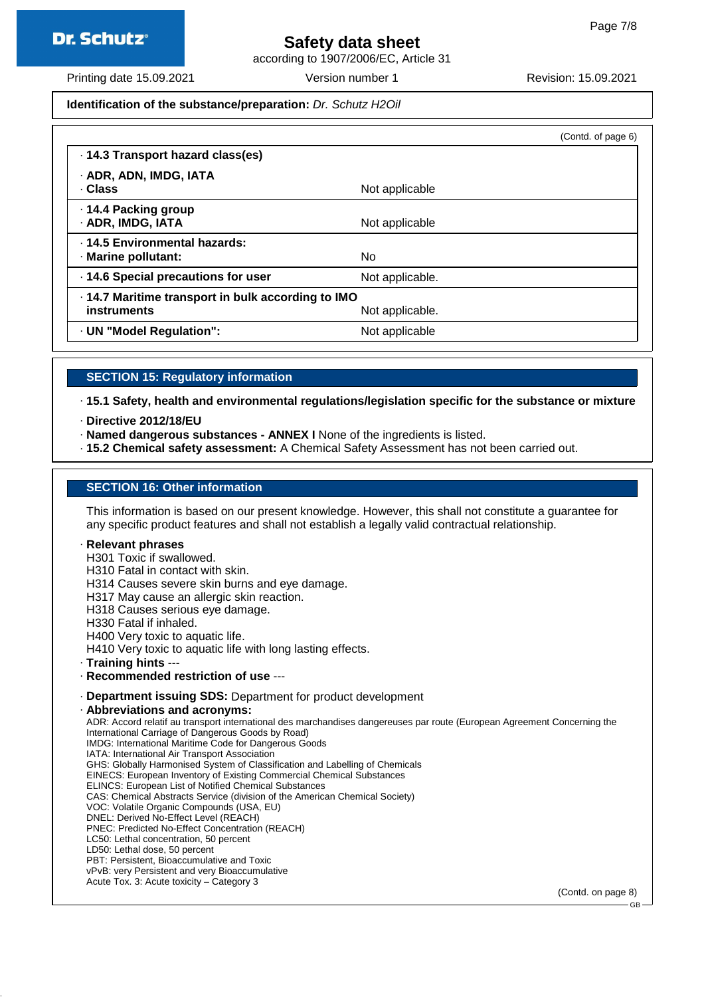

according to 1907/2006/EC, Article 31

Printing date 15.09.2021 Version number 1 Revision: 15.09.2021

#### **Identification of the substance/preparation:** Dr. Schutz H2Oil

|                                                                   |                 | (Contd. of page 6) |
|-------------------------------------------------------------------|-----------------|--------------------|
| · 14.3 Transport hazard class(es)                                 |                 |                    |
| · ADR, ADN, IMDG, IATA<br>· Class                                 | Not applicable  |                    |
| · 14.4 Packing group<br>· ADR, IMDG, IATA                         | Not applicable  |                    |
| . 14.5 Environmental hazards:<br>· Marine pollutant:              | No              |                    |
| · 14.6 Special precautions for user                               | Not applicable. |                    |
| · 14.7 Maritime transport in bulk according to IMO<br>instruments | Not applicable. |                    |
| · UN "Model Regulation":                                          | Not applicable  |                    |

#### **SECTION 15: Regulatory information**

· **15.1 Safety, health and environmental regulations/legislation specific for the substance or mixture**

- · **Directive 2012/18/EU**
- · **Named dangerous substances ANNEX I** None of the ingredients is listed.
- · **15.2 Chemical safety assessment:** A Chemical Safety Assessment has not been carried out.

#### **SECTION 16: Other information**

This information is based on our present knowledge. However, this shall not constitute a guarantee for any specific product features and shall not establish a legally valid contractual relationship.

#### · **Relevant phrases**

H301 Toxic if swallowed.

H310 Fatal in contact with skin.

H314 Causes severe skin burns and eye damage.

- H317 May cause an allergic skin reaction.
- H318 Causes serious eye damage.
- H330 Fatal if inhaled.
- H400 Very toxic to aquatic life.
- H410 Very toxic to aquatic life with long lasting effects.
- · **Training hints** ---
- · **Recommended restriction of use** ---
- · **Department issuing SDS:** Department for product development
- · **Abbreviations and acronyms:**

ADR: Accord relatif au transport international des marchandises dangereuses par route (European Agreement Concerning the International Carriage of Dangerous Goods by Road) IMDG: International Maritime Code for Dangerous Goods IATA: International Air Transport Association GHS: Globally Harmonised System of Classification and Labelling of Chemicals EINECS: European Inventory of Existing Commercial Chemical Substances ELINCS: European List of Notified Chemical Substances CAS: Chemical Abstracts Service (division of the American Chemical Society) VOC: Volatile Organic Compounds (USA, EU) DNEL: Derived No-Effect Level (REACH) PNEC: Predicted No-Effect Concentration (REACH) LC50: Lethal concentration, 50 percent LD50: Lethal dose, 50 percent PBT: Persistent, Bioaccumulative and Toxic

vPvB: very Persistent and very Bioaccumulative Acute Tox. 3: Acute toxicity – Category 3

(Contd. on page 8)

GB